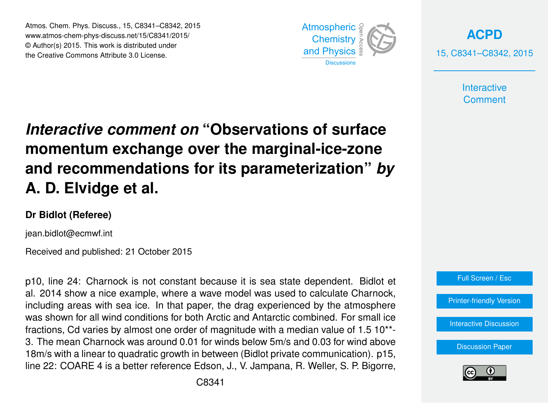Atmos. Chem. Phys. Discuss., 15, C8341–C8342, 2015 www.atmos-chem-phys-discuss.net/15/C8341/2015/ © Author(s) 2015. This work is distributed under the Creative Commons Attribute 3.0 License.



**[ACPD](http://www.atmos-chem-phys-discuss.net)** 15, C8341–C8342, 2015

> **Interactive Comment**

## *Interactive comment on* **"Observations of surface momentum exchange over the marginal-ice-zone and recommendations for its parameterization"** *by* **A. D. Elvidge et al.**

## **Dr Bidlot (Referee)**

jean.bidlot@ecmwf.int

Received and published: 21 October 2015

p10, line 24: Charnock is not constant because it is sea state dependent. Bidlot et al. 2014 show a nice example, where a wave model was used to calculate Charnock, including areas with sea ice. In that paper, the drag experienced by the atmosphere was shown for all wind conditions for both Arctic and Antarctic combined. For small ice fractions, Cd varies by almost one order of magnitude with a median value of 1.5 10\*\*- 3. The mean Charnock was around 0.01 for winds below 5m/s and 0.03 for wind above 18m/s with a linear to quadratic growth in between (Bidlot private communication). p15, line 22: COARE 4 is a better reference Edson, J., V. Jampana, R. Weller, S. P. Bigorre,